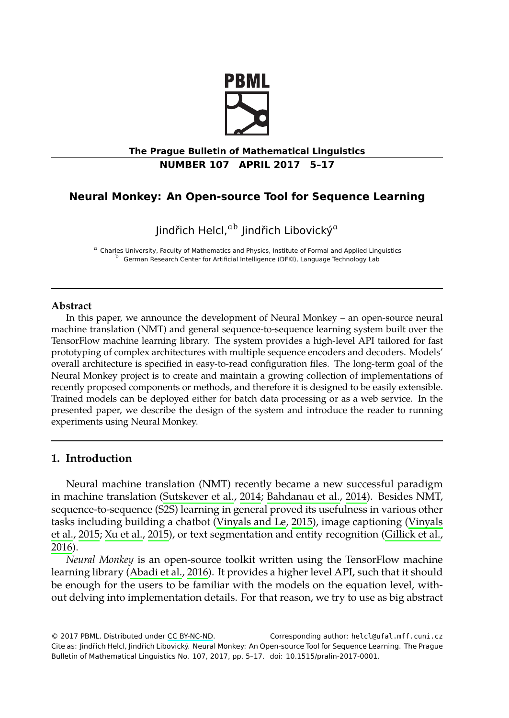

# **The Prague Bulletin of Mathematical Linguistics NUMBER 107 APRIL 2017 5–17**

# **Neural Monkey: An Open-source Tool for Sequence Learning**

Jindřich Helcl,<sup>ab</sup> Jindřich Libovický<sup>a</sup>

<sup>a</sup> Charles University, Faculty of Mathematics and Physics, Institute of Formal and Applied Linguistics <sup>b</sup> German Research Center for Artificial Intelligence (DFKI), Language Technology Lab

#### **Abstract**

In this paper, we announce the development of Neural Monkey – an open-source neural machine translation (NMT) and general sequence-to-sequence learning system built over the TensorFlow machine learning library. The system provides a high-level API tailored for fast prototyping of complex architectures with multiple sequence encoders and decoders. Models' overall architecture is specified in easy-to-read configuration files. The long-term goal of the Neural Monkey project is [to create and maintain a](#page-11-0) [growing collection of im](#page-10-0)plementations of recently proposed components or methods, and therefore it is designed to be easily extensible. Trained models can be deployed eithe[r for batch data p](#page-11-1)r[ocess](#page-11-1)ing or as a web servic[e. In the](#page-11-2) [presented p](#page-11-2)[aper, we describ](#page-11-3)e the design of the system and introduce the rea[der to running](#page-10-1) [exper](#page-10-1)iments using Neural Monkey.

# **1. Introductio[n](#page-10-2)**

Neural machine translation (NMT) recently became a new successful paradigm in machine translation (Sutskever et al., 2014; Bahdanau et al., 2014). Besides NMT, sequence-to-sequence (S2S) learning in general proved its usefulness in various other tasks including building [a chatbot \(](http://creativecommons.org/licenses/by-nc-nd/3.0/)Vinyals and Le, 2015), image captioning (Vinyals et al., 2015; Xu et al., 2015), or text segmentation and entity recognition (Gillick et al., 2016).

*Neural Monkey* is an open-source toolkit written using the TensorFlow machine learning library (Abadi et al., 2016). It provides a higher level API, such that it should be enough for the users to be familiar with the models on the equation level, without delving into implementation details. For that reason, we try to use as big abstract

© 2017 PBML. Distributed under CC BY-NC-ND. Corresponding author: helcl@ufal.mff.cuni.cz Cite as: Jindřich Helcl, Jindřich Libovický. Neural Monkey: An Open-source Tool for Sequence Learning. The Prague Bulletin of Mathematical Linguistics No. 107, 2017, pp. 5–17. doi: 10.1515/pralin-2017-0001.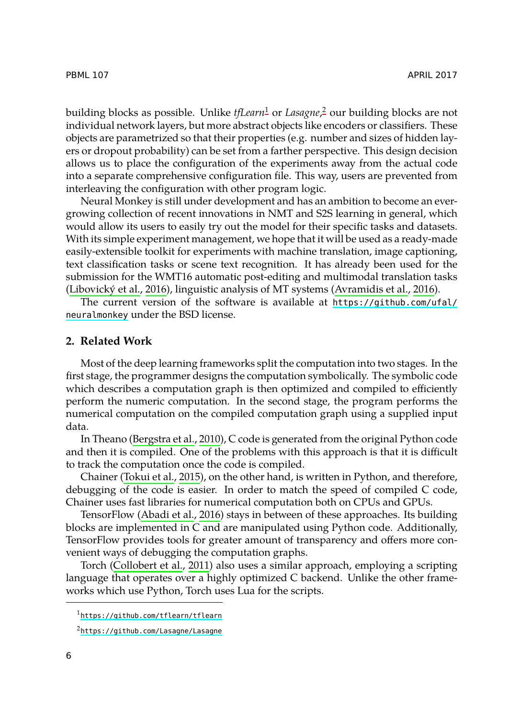PBML 107 APRIL 2017

building blocks as possible. Unlike *tfLearn*<sup>1</sup> or *Lasagne*, <sup>2</sup> our building blocks are not individual network layers, but more abstract objects like encoders or classifiers. These objects are parametrized so that their properties (e.g. number and sizes of hidden layers or dropout probability) can be set from a farther perspective. This design decision allows us to place the configuration of the experiments away from the actual code i[nto a separate compre](#page-11-4)hensive configuration file. This wa[y, users are prevented](#page-10-3) [from](https://github.com/ufal/neuralmonkey) interleaving the configuration with other program logic.

[Neural Mo](https://github.com/ufal/neuralmonkey)nkey is still under development and has an ambition to become an evergrowing collection of recent innovations in NMT and S2S learning in general, which would allow its users to easily try out the model for their specific tasks and datasets. With its simple experiment management, we hope that it will be used as a ready-made easily-extensible toolkit for experiments with machine translation, image captioning, text classification tasks or scene text recognition. It has already been used for the submission for the WMT16 automatic post-editing and multimodal translation tasks (Libovický et al., 2016), linguistic analysis of MT systems (Avramidis et al., 2016).

The current version of the software is available at https://github.com/ufal/ neuralmonkey [under the BSD licen](#page-10-4)se.

### **2. Related Work**

Most of t[he deep learning f](#page-11-5)rameworks split the computation into two stages. In the first stage, the programmer designs the computation symbolically. The symbolic code which describes a computation graph is then optimized and compiled to efficiently perform the nu[meric computatio](#page-10-2)n. In the second stage, the program performs the numerical computation on the compiled computation graph using a supplied input data.

In Theano (Bergstra et al., 2010), C code is generated from the original Python code and then [it is compiled. One of](#page-10-5) the problems with this approach is that it is difficult to track the computation once the code is compiled.

Chainer (Tokui et al., 2015), on the other hand, is written in Python, and therefore, debugging of the code is easier. In order to match the speed of compiled C code, Ch[ainer uses fast libraries for num](https://github.com/tflearn/tflearn)erical computation both on CPUs and GPUs.

[TensorFlow \(Abadi et al.,](https://github.com/Lasagne/Lasagne) 2016) stays in between of these approaches. Its building blocks are implemented in C and are manipulated using Python code. Additionally, TensorFlow provides tools for greater amount of transparency and offers more convenient ways of debugging the computation graphs.

Torch (Collobert et al., 2011) also uses a similar approach, employing a scripting language that operates over a highly optimized C backend. Unlike the other frameworks which use Python, Torch uses Lua for the scripts.

<sup>1</sup>https://github.com/tflearn/tflearn

<sup>2</sup>https://github.com/Lasagne/Lasagne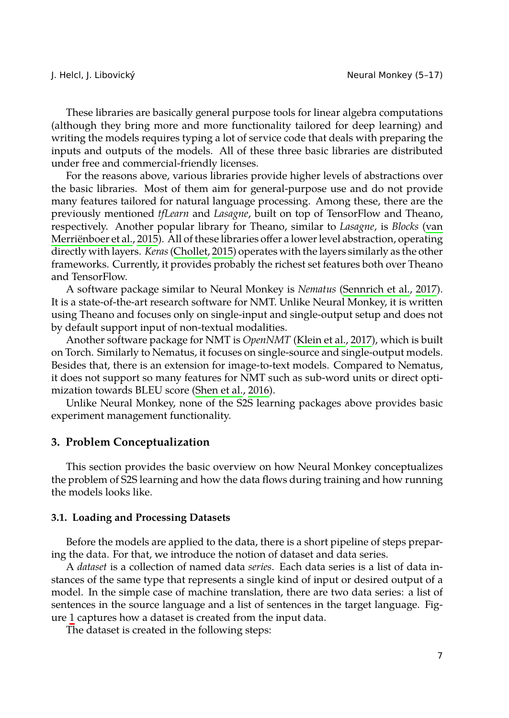These libraries are basically general purpose tools for linear algebra computat[ions](#page-11-6) [\(although they bring m](#page-11-6)ore and more functionality tailored for deep learning) and writing the models requir[es typing a lot](#page-10-6) of service code that deals with preparing the inputs and outputs of the models. All of these three basic libraries are distributed under free and commercial-friendly licenses.

For the reasons above, various libraries provide higher leve[ls of abstractions ove](#page-11-7)r the basic libraries. Most of them aim for general-purpose use and do not provide many features tailored for natural language processing. Among these, there are the previously mentioned *tfLearn* and *Lasagne*, built on top of TensorFlow and Theano, respectively. Another popular library for Theano, s[imilar to](#page-10-7) *La[sagne](#page-10-7)*, is *Blocks* (van Merriënboer et al., 2015). All of these libraries offer a lower level abstraction, operating directly with layers. *Keras*(Chollet, 2015) operates with the layers similarly as the other frameworks. Currently, it prov[ides probably the](#page-11-8) richest set features both over Theano and TensorFlow.

A software package similar to Neural Monkey is *Nematus* (Sennrich et al., 2017). It is a state-of-the-art research software for NMT. Unlike Neural Monkey, it is written using Theano and focuses only on single-input and single-output setup and does not by default support input of non-textual modalities.

Another software package for NMT is *OpenNMT* (Klein et al., 2017), which is built on Torch. Similarly to Nematus, it focuses on single-source and single-output models. Besides that, there is an extension for image-to-text models. Compared to Nematus, it does not support so many features for NMT such as sub-word units or direct optimization towards BLEU score (Shen et al., 2016).

Unlike Neural Monkey, none of the S2S learning packages above provides basic experiment management functionality.

# **3. Problem Conceptualization**

This section provides the basic overview on how Neural Monkey conceptualizes the problem of S2S learning and how the data flows during training and how running the [m](#page-3-0)odels looks like.

#### **3.1. Loading and Processing Datasets**

Before the models are applied to the data, there is a short pipeline of steps preparing the data. For that, we introduce the notion of dataset and data series.

A *dataset* is a collection of named data *series*. Each data series is a list of data instances of the same type that represents a single kind of input or desired output of a model. In the simple case of machine translation, there are two data series: a list of sentences in the source language and a list of sentences in the target language. Figure 1 captures how a dataset is created from the input data.

The dataset is created in the following steps: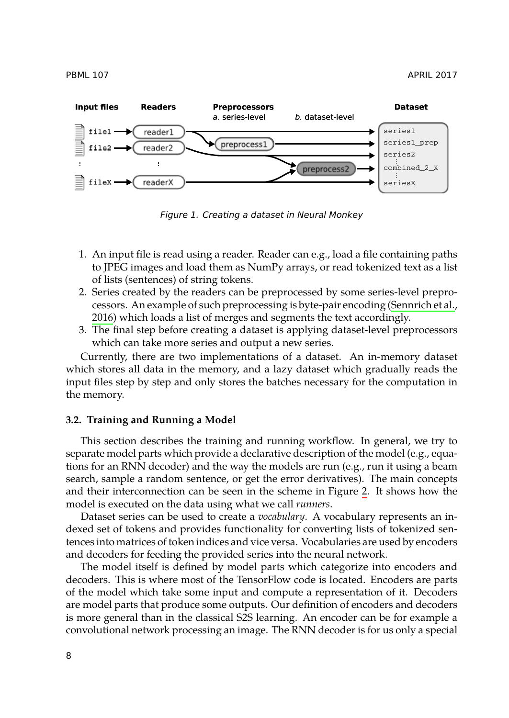PBML 107 APRIL 2017



<span id="page-3-0"></span>*Figure 1. Creating a dataset in Neural Monkey*

- 1. An input file is read using a reader. Reader can e.g., load a file containing paths to JPEG images and load them as NumPy arrays, or read tokenized text as a list of lists (sentences) of string tokens.
- 2. Series created by the readers can be preprocessed by some series-level preprocessors. An example of such preprocessing is byte-pair encoding (Sennrich et al., 2016) which loads a list of merges and segments the text accordingly.
- 3. The final step before creating a dataset is applying dataset-level preprocessors which can take more series and output a new series.

Currently, there are two implementations of a dataset. An in-memory dataset which stores all data in the memory, and a lazy dataset which [g](#page-4-0)radually reads the input files step by step and only stores the batches necessary for the computation in the memory.

# **3.2. Training and Running a Model**

This section describes the training and running workflow. In general, we try to separate model parts which provide a declarative description of the model (e.g., equations for an RNN decoder) and the way the models are run (e.g., run it using a beam search, sample a random sentence, or get the error derivatives). The main concepts and their interconnection can be seen in the scheme in Figure 2. It shows how the model is executed on the data using what we call *runners*.

Dataset series can be used to create a *vocabulary*. A vocabulary represents an indexed set of tokens and provides functionality for converting lists of tokenized sentences into matrices of token indices and vice versa. Vocabularies are used by encoders and decoders for feeding the provided series into the neural network.

The model itself is defined by model parts which categorize into encoders and decoders. This is where most of the TensorFlow code is located. Encoders are parts of the model which take some input and compute a representation of it. Decoders are model parts that produce some outputs. Our definition of encoders and decoders is more general than in the classical S2S learning. An encoder can be for example a convolutional network processing an image. The RNN decoder is for us only a special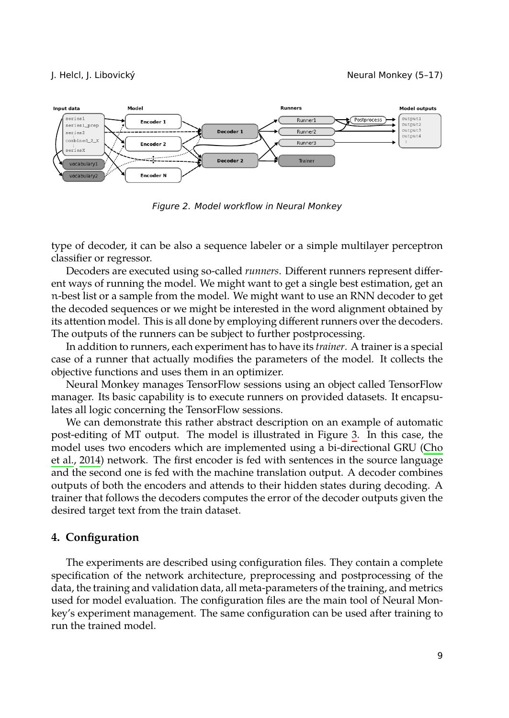

<span id="page-4-0"></span>*Figure 2. Model workflow in Neural Monkey*

type of decoder, it can be also a sequence labeler or a simple multilayer perceptron classifier or regressor.

Decoders are executed using so-called *runners*. Different runners represent different ways of running the model. We might want to get a single best estimation, get an n-best list or a sample from the model. We might want to use an RNN decoder to get the decoded sequences or we might be interested in the word alignment obtained by its attention model. This is all done by employing different runne[rs](#page-5-0) over the deco[ders.](#page-10-8) [The o](#page-10-8)utputs of the runners can be subject to further postprocessing.

In [addit](#page-10-8)ion to runners, each experiment has to have its *trainer*. A trainer is a special case of a runner that actually modifies the parameters of the model. It collects the objective functions and uses them in an optimizer.

Neural Monkey manages TensorFlow sessions using an object called TensorFlow manager. Its basic capability is to execute runners on provided datasets. It encapsulates all logic concerning the TensorFlow sessions.

We can demonstrate this rather abstract description on an example of automatic post-editing of MT output. The model is illustrated in Figure 3. In this case, the model uses two encoders which are implemented using a bi-directional GRU (Cho et al., 2014) network. The first encoder is fed with sentences in the source language and the second one is fed with the machine translation output. A decoder combines outputs of both the encoders and attends to their hidden states during decoding. A trainer that follows the decoders computes the error of the decoder outputs given the desired target text from the train dataset.

## **4. Configuration**

The experiments are described using configuration files. They contain a complete specification of the network architecture, preprocessing and postprocessing of the data, the training and validation data, all meta-parameters of the training, and metrics used for model evaluation. The configuration files are the main tool of Neural Monkey's experiment management. The same configuration can be used after training to run the trained model.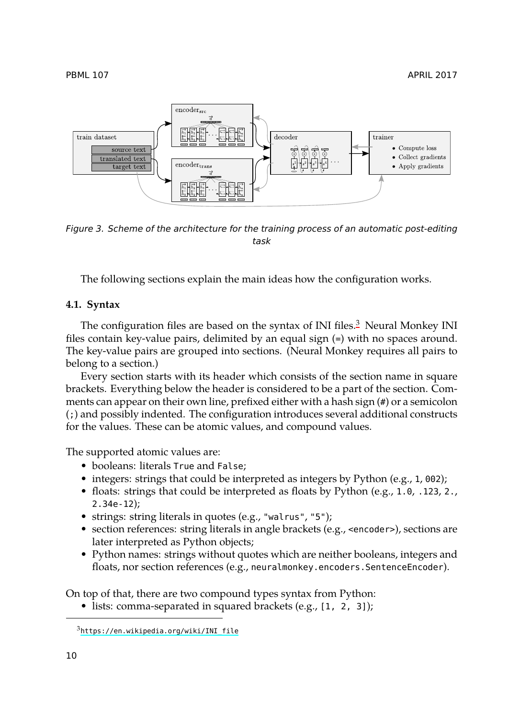<span id="page-5-0"></span>PBML 107 APRIL 2017



*Figure 3. Scheme of the architecture for the training process of an automatic post-editing task*

The following sections explain the main ideas how the configuration works.

### **4.1. Syntax**

The configuration files are based on the syntax of INI files. $3$  Neural Monkey INI files contain key-value pairs, delimited by an equal sign (=) with no spaces around. The key-value pairs are grouped into sections. (Neural Monkey requires all pairs to belong to a section.)

Every section starts with its header which consists of the section name in square brackets. Everything below the header is considered to be a part of the section. Comments can appear on their own line, prefixed either with a hash sign (#) or a semicolon (;) and possibly indented. The configuration introduces several additional constructs for the values. These can be atomic values, and compound values.

The supported atomic values are:

- booleans: literals True and False;
- integers: strings that could be interpreted as integers by Python (e.g., 1, 002);
- floats: strings that could be interpreted as floats by Python (e.g., 1.0, .123, 2., 2.34e-12);
- [strings: string literals in quotes \(](https://en.wikipedia.org/wiki/INI_file)e.g., "walrus", "5");
- section references: string literals in angle brackets (e.g., <encoder>), sections are later interpreted as Python objects;
- Python names: strings without quotes which are neither booleans, integers and floats, nor section references (e.g., neuralmonkey.encoders.SentenceEncoder).

On top of that, there are two compound types syntax from Python:

• lists: comma-separated in squared brackets (e.g., [1, 2, 3]);

<sup>3</sup>https://en.wikipedia.org/wiki/INI\_file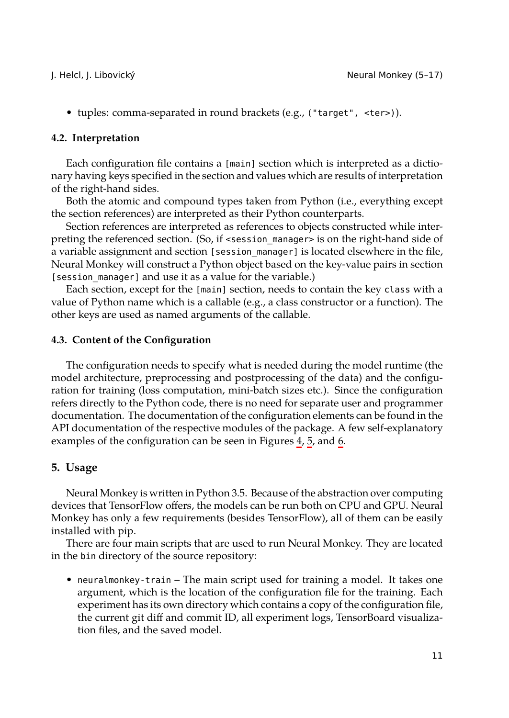• tuples: comma-separated in round brackets (e.g., ("target", <ter>)).

#### **4.2. Interpretation**

Each configuration file contains a [main] section which is interpreted as a dictionary having keys specified in the section and values which are results of interpretation of the right-hand sides.

Both the atomic and compound types taken from Python (i.e., everything except the section references) are interpreted as their Python counterparts.

Section references are interpreted as references to objects constructed while interpreting the referenced section. (So, if <session\_manager> is on the right-hand side of a variable assignment and section [session\_manager] is located elsewhere in the file, Neural Monkey will construct a Python object based on the key-value pairs in section [session\_manager] and use it as a value for the variable.)

Each section, except for the [main] section, needs to contain the key class with a value of Python name which is a callable (e.g., a class constructor or a function). The other keys are used as named arguments of the calla[bl](#page-7-0)[e.](#page-7-1)

#### **4.3. Content of the Configuration**

The configuration needs to specify what is needed during the model runtime (the model architecture, preprocessing and postprocessing of the data) and the configuration for training (loss computation, mini-batch sizes etc.). Since the configuration refers directly to the Python code, there is no need for separate user and programmer documentation. The documentation of the configuration elements can be found in the API documentation of the respective modules of the package. A few self-explanatory examples of the configuration can be seen in Figures 4, 5, and 6.

## **5. Usage**

Neural Monkey is written in Python 3.5. Because of the abstraction over computing devices that TensorFlow offers, the models can be run both on CPU and GPU. Neural Monkey has only a few requirements (besides TensorFlow), all of them can be easily installed with pip.

There are four main scripts that are used to run Neural Monkey. They are located in the bin directory of the source repository:

• neuralmonkey-train – The main script used for training a model. It takes one argument, which is the location of the configuration file for the training. Each experiment has its own directory which contains a copy of the configuration file, the current git diff and commit ID, all experiment logs, TensorBoard visualization files, and the saved model.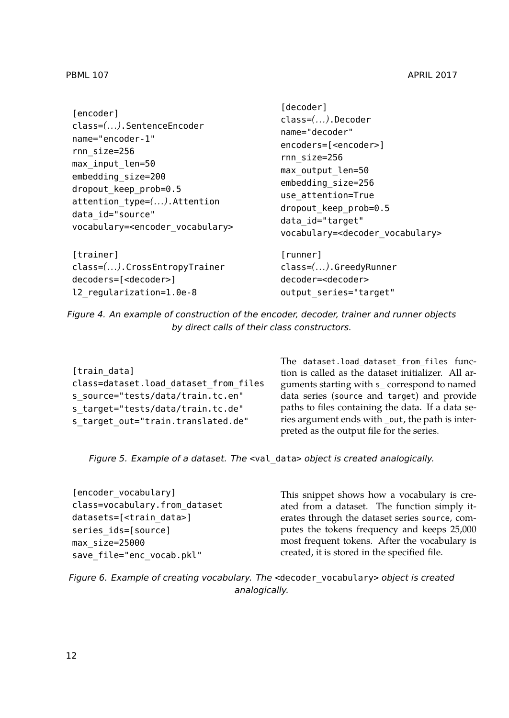| [encoder]<br>$class=(\ldots).SentenceEncoder$<br>name="encoder-1"<br>rnn size=256<br>max input len=50<br>embedding size=200<br>dropout keep prob=0.5<br>$attention type=().$ Attention<br>data id="source"<br>vocabulary= <encoder vocabulary=""></encoder> | Tuecouer I<br>$class=(\ldots).$ Decoder<br>name="decoder"<br>encoders=[ <encoder>]<br/>rnn size=256<br/>max output len=50<br/>embedding size=256<br/>use attention=True<br/>dropout keep prob=0.5<br/>data id="target"<br/>vocabulary=<decoder vocabulary=""></decoder></encoder> |
|-------------------------------------------------------------------------------------------------------------------------------------------------------------------------------------------------------------------------------------------------------------|-----------------------------------------------------------------------------------------------------------------------------------------------------------------------------------------------------------------------------------------------------------------------------------|
| [trainer]                                                                                                                                                                                                                                                   | [runner]                                                                                                                                                                                                                                                                          |
| class=(). CrossEntropyTrainer                                                                                                                                                                                                                               | $class=(\ldots).Greedy$ Runner                                                                                                                                                                                                                                                    |
| decoders=[ <decoder>]</decoder>                                                                                                                                                                                                                             | decoder= <decoder></decoder>                                                                                                                                                                                                                                                      |
| l2 regularization=1.0e-8                                                                                                                                                                                                                                    | output series="target"                                                                                                                                                                                                                                                            |

[decoder]

<span id="page-7-0"></span>*Figure 4. An example of construction of the encoder, decoder, trainer and runner objects by direct calls of their class constructors.*

| [train data]                          |
|---------------------------------------|
| class=dataset.load dataset from files |
| s source="tests/data/train.tc.en"     |
| s target="tests/data/train.tc.de"     |
| s target out="train.translated.de"    |

The dataset.load\_dataset\_from\_files function is called as the dataset initializer. All arguments starting with s\_ correspond to named data series (source and target) and provide paths to files containing the data. If a data series argument ends with \_out, the path is interpreted as the output file for the series.

<span id="page-7-1"></span>*Figure 5. Example of a dataset. The* <val\_data> *object is created analogically.*

| [encoder vocabulary]                |  |
|-------------------------------------|--|
| class=vocabulary.from dataset       |  |
| datasets=[ <train data="">]</train> |  |
| series ids=[source]                 |  |
| max size=25000                      |  |
| save file="enc vocab.pkl"           |  |

This snippet shows how a vocabulary is created from a dataset. The function simply iterates through the dataset series source, computes the tokens frequency and keeps 25,000 most frequent tokens. After the vocabulary is created, it is stored in the specified file.

*Figure 6. Example of creating vocabulary. The* <decoder\_vocabulary> *object is created analogically.*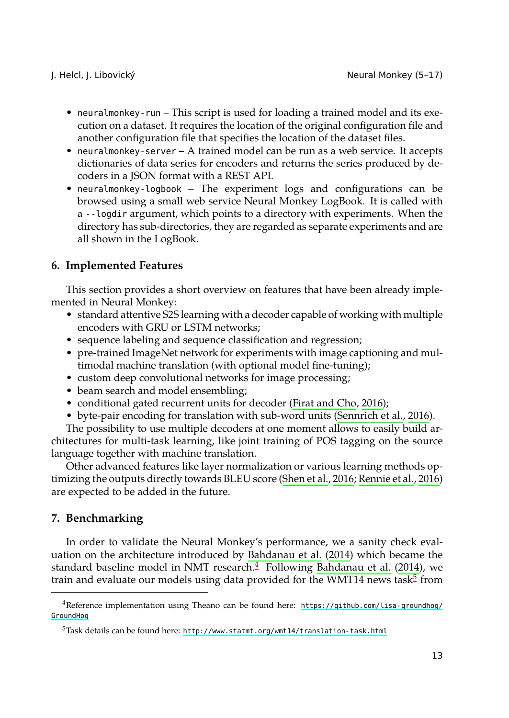- neuralmonkey-run This script is used for loading a trained model and its execution on a dataset. It requires the location of the original configuration file and another configuration file that specifies the location of the dataset files.
- neuralmonkey-server A trained model can be run as a web service. It accepts dictionaries of data series for encoders and returns the series produced by decoders in a JSON format with a REST API.
- neuralmonkey-logbook The experiment logs and configurations can be browsed using a small web service Neural Monkey LogBook. It is called with a --logdir argument, which points to a directory with experiments. When the directory has sub-directories, they are regarded as separate experiments and are all shown in the LogBook.

# **6. Implemented Features**

This section provides a short overview on featur[es that have b](#page-10-9)[ee](#page-11-9)[n a](#page-10-9)[lready imp](#page-11-9)lemented in Neural Monkey:

- standard attentive S2S learning with a decoder capable of working with multiple encoders with GRU or LSTM networks;
- sequence labeling and sequence classification and regression;
- pre-trained ImageNet network for experiments with image c[aptioning and mul](#page-11-10)timodal machine translation (with optional [model fine-tunin](#page-11-8)g);
- custom deep convolutional networks for image processing;
- beam search and model ensembling;
- conditional gated recurrent units for decoder (Firat and Cho, 2016);
- byte-pair encoding for translation with sub-word units (Sennrich et al., 2016).

The possibility to use multiple decoders at one moment allows to easily build architectures for multi-task learning, like jo[int training of POS tagging on](#page-10-0) t[he so](#page-10-0)urce language together with machine translation.

<span id="page-8-0"></span>Other advanced features like layer normalization or various learning meth[od](#page-8-1)s optimizing the outputs directly towards BLEU score (Shen et al., 2016; [Rennie et al.,](https://github.com/lisa-groundhog/GroundHog) 2016) [are expe](https://github.com/lisa-groundhog/GroundHog)cted to be added in the future.

# <span id="page-8-1"></span>**7. Benchmarking**

In order to validate the Neural Monkey's performance, we a sanity check evaluation on the architecture introduced by Bahdanau et al. (2014) which became the standard baseline model in NMT research.<sup>4</sup> Following Bahdanau et al. (2014), we train and evaluate our models using data provided for the WMT14 news task $^5$  from

<sup>4</sup>Reference implementation using Theano can be found here: https://github.com/lisa-groundhog/ GroundHog

<sup>5</sup>Task details can be found here: http://www.statmt.org/wmt14/translation-task.html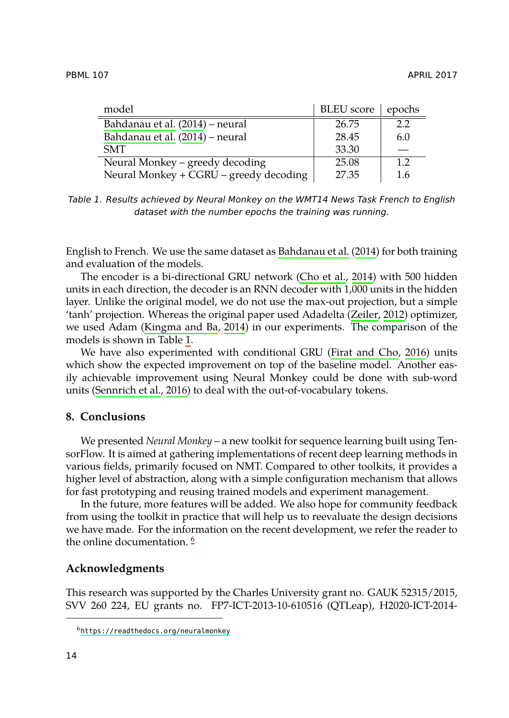<span id="page-9-0"></span>

| model                                  | <b>BLEU</b> score | epochs |
|----------------------------------------|-------------------|--------|
| Bahdanau et al. (2014) – neural        | 26.75             | 2.2    |
| Bahdanau et al. (2014) - neural        | 28.45             | 6.0    |
| <b>SMT</b>                             | 33.30             |        |
| Neural Monkey – greedy decoding        | 25.08             | 1.2    |
| Neural Monkey + CGRU - greedy decoding | 27.35             | 1.6    |

*Table 1. Results achieved by Neural Monkey on the WMT14 New[s Task French](#page-12-0) to English d[ataset with the number](#page-10-10) epochs the training was running.*

English to French. We use the same dataset as Bahdanau et al. (2014) for both training and evaluation of the models.

Th[e encoder is a](#page-11-9) [bi-dir](#page-11-9)ectional GRU network (Cho et al., 2014) with 500 hidden units in each direction, the decoder is an RNN decoder with 1,000 units in the hidden layer. Unlike the original model, we do not use the max-out projection, but a simple 'tanh' projection. Whereas the original paper used Adadelta (Zeiler, 2012) optimizer, we used Adam (Kingma and Ba, 2014) in our experiments. The comparison of the models is shown in Table 1.

We have also experimented with conditional GRU (Firat and Cho, 2016) units which show the expected improvement on top of the baseline model. Another easily achievable improvement using Neural Monkey could be done with sub-word units (Sennrich et al., 2016) to deal with the out-of-vocabulary tokens.

# **8. Conclusions**

We presented *Neural Monkey* – a new toolkit for sequence learning built using TensorFlow. It is aimed at gathering implementations of recent deep learning methods in various fields, primarily focused on NMT. Compared to other toolkits, it provides a higher level of abstraction, along with a simple configuration mechanism that allows for fast prototyping and reusing trained models and experiment management.

In the future, more features will be added. We also hope for community feedback fro[m using the toolkit in practice th](https://readthedocs.org/neuralmonkey)at will help us to reevaluate the design decisions we have made. For the information on the recent development, we refer the reader to the online documentation.<sup>6</sup>

## **Acknowledgments**

This research was supported by the Charles University grant no. GAUK 52315/2015, SVV 260 224, EU grants no. FP7-ICT-2013-10-610516 (QTLeap), H2020-ICT-2014-

<sup>6</sup>https://readthedocs.org/neuralmonkey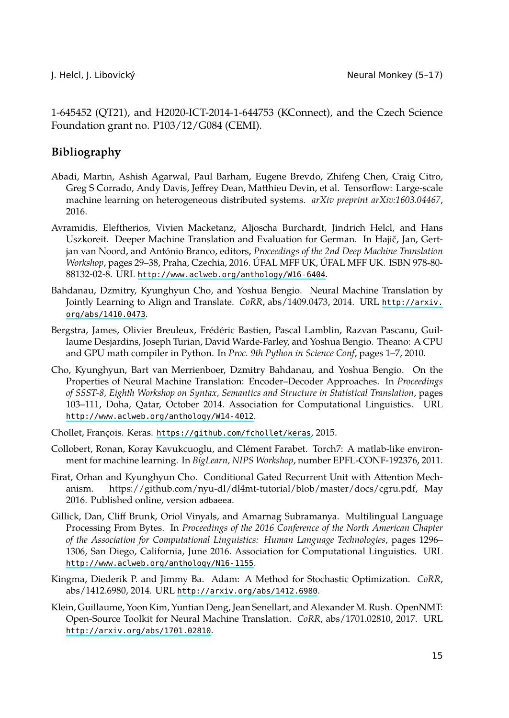<span id="page-10-2"></span>

<span id="page-10-3"></span>1-645452 (QT21), and H2020-ICT-2014-1-644753 (KConnect), and the Czech Science Foundation grant no. P103/12/G084 (CEMI).

# **Bibliography**

- <span id="page-10-0"></span>Abadi, Martın, Ashish Agarwal, Paul Barham, Eugene Brevdo, Zhifeng Chen, Craig Citro, Greg S Corrado, Andy Davis, Jeffrey Dean, Matthieu Devin, et al. Tensorfl[ow: Large-scale](http://arxiv.org/abs/1410.0473) [machine learning o](http://arxiv.org/abs/1410.0473)n heterogeneous distributed systems. *arXiv preprint arXiv:1603.04467*, 2016.
- <span id="page-10-8"></span><span id="page-10-4"></span>Avramidis, Eleftherios, Vivien Macketanz, Aljoscha Burchardt, Jindrich Helcl, and Hans Uszkoreit. Deeper Machine Translation and Evaluation for German. In Hajič, Jan, Gertjan van Noord, and António Branco, editors, *Proceedings of the 2nd Deep Machine Translation Workshop*, pages 29–38, Praha, Czechia, 2016. ÚFAL MFF UK, ÚFAL MFF UK. ISBN 978-80- 88132-02-8. URL http://www.aclweb.org/anthology/W16-6404.
- Bahdanau, Dzmitry, Kyunghyun Cho, and Yoshua Bengio. Neural Machine Translation by [Jointly Learning to Align and Translate.](http://www.aclweb.org/anthology/W14-4012) *CoRR*, abs/1409.0473, 2014. URL http://arxiv. org/abs/1410.0473.
- <span id="page-10-6"></span><span id="page-10-5"></span>Bergstra, James, Olivier Breuleux, Frédéric Bastien, Pascal Lamblin, Razvan Pascanu, Guillaume Desjardins, Joseph Turian, David Warde-Farley, and Yoshua Bengio. Theano: A CPU and GPU math compiler in Python. In *Proc. 9th Python in Science Conf*, pages 1–7, 2010.
- <span id="page-10-9"></span><span id="page-10-1"></span>Cho, Kyunghyun, Bart van Merrienboer, Dzmitry Bahdanau, and Yoshua Bengio. On the Properties of Neural Machine Translation: Encoder–Decoder Approaches. In *Proceedings of SSST-8, Eighth Workshop on Syntax, Semantics and Structure in Statistical Translation*, pages 103–111, Doha, Qatar, October 2014. Association for Computational Linguistics. URL http://www.aclweb.org/anthology/W14-4012.
- Chollet, François. Keras. https://github.com/fchollet/keras, 2015.
- <span id="page-10-10"></span>Col[lobert, Ronan, Koray Kavukcuoglu, and Clém](http://www.aclweb.org/anthology/N16-1155)ent Farabet. Torch7: A matlab-like environment for machine learning. In *BigLearn, NIPS Workshop*, number EPFL-CONF-192376, 2011.
- <span id="page-10-7"></span>Firat, Orhan and Kyunghyun [Cho. Conditional Gated Recurre](http://arxiv.org/abs/1412.6980)nt Unit with Attention Mechanism. https://github.com/nyu-dl/dl4mt-tutorial/blob/master/docs/cgru.pdf, May 2016. Published online, version adbaeea.
- Gil[lick, Dan, Cliff Brunk, Oriol Vinyal](http://arxiv.org/abs/1701.02810)s, and Amarnag Subramanya. Multilingual Language Processing From Bytes. In *Proceedings of the 2016 Conference of the North American Chapter of the Association for Computational Linguistics: Human Language Technologies*, pages 1296– 1306, San Diego, California, June 2016. Association for Computational Linguistics. URL http://www.aclweb.org/anthology/N16-1155.
- Kingma, Diederik P. and Jimmy Ba. Adam: A Method for Stochastic Optimization. *CoRR*, abs/1412.6980, 2014. URL http://arxiv.org/abs/1412.6980.
- Klein, Guillaume, Yoon Kim, Yuntian Deng, Jean Senellart, and Alexander M. Rush. OpenNMT: Open-Source Toolkit for Neural Machine Translation. *CoRR*, abs/1701.02810, 2017. URL http://arxiv.org/abs/1701.02810.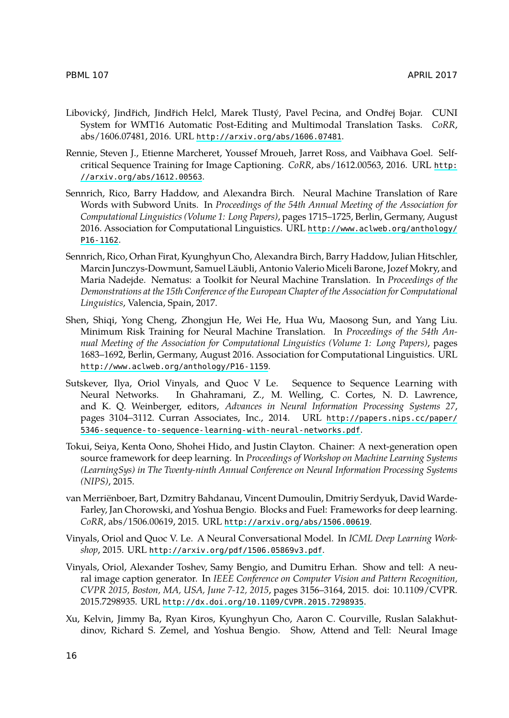- <span id="page-11-10"></span><span id="page-11-9"></span><span id="page-11-4"></span>PBML 107 APRIL 2017
- Libovický, Jindřich, Jindřich Helcl, Marek Tlustý, Pavel [Pecina, and Ondřej Bojar. CUNI](http://www.aclweb.org/anthology/P16-1162) [System fo](http://www.aclweb.org/anthology/P16-1162)r WMT16 Automatic Post-Editing and Multimodal Translation Tasks. *CoRR*, abs/1606.07481, 2016. URL http://arxiv.org/abs/1606.07481.
- <span id="page-11-7"></span>Rennie, Steven J., Etienne Marcheret, Youssef Mroueh, Jarret Ross, and Vaibhava Goel. Selfcritical Sequence Training for Image Captioning. *CoRR*, abs/1612.00563, 2016. URL http: //arxiv.org/abs/1612.00563.
- <span id="page-11-8"></span>Sennrich, Rico, Barry Haddow, and Alexandra Birch. Neural Machine Translation of Rare Words with Subword Units. In *Proceedings of the 54th Annual Meeting of the Association for Computational Linguistics (Volume 1: Long Papers)*, pages 1715–1725, Berlin, Germany, August 2016. Association for Computational Linguistics. URL http://www.aclweb.org/anthology/ P16-1162.
- <span id="page-11-0"></span>Se[nnrich, Rico, Orhan Firat, Kyunghyun Cho, Ale](http://www.aclweb.org/anthology/P16-1159)xandra Birch, Barry Haddow, Julian Hitschler, Marcin Junczys-Dowmunt, Samuel Läubli, Antonio Valerio Miceli Barone, Jozef Mokry, and Maria Nadejde. Nematus: a Toolkit for Neural Machine Translation. In *Proceedings of the Demonstrations at the 15th Conference of the European Chapter o[f the Association for Computational](http://papers.nips.cc/paper/5346-sequence-to-sequence-learning-with-neural-networks.pdf) Linguistics*, Valencia, Spain, 2017.
- <span id="page-11-5"></span>Sh[en, Shiqi, Yong Cheng, Zhongjun He, Wei He, Hua Wu, Maoson](http://papers.nips.cc/paper/5346-sequence-to-sequence-learning-with-neural-networks.pdf)g Sun, and Yang Liu. Minimum Risk Training for Neural Machine Translation. In *Proceedings of the 54th Annual Meeting of the Association for Computational Linguistics (Volume 1: Long Papers)*, pages 1683–1692, Berlin, Germany, August 2016. Association for Computational Linguistics. URL http://www.aclweb.org/anthology/P16-1159.
- <span id="page-11-6"></span>Sutskever, Ilya, Oriol Vinyals, and Quoc V Le. Sequence to Sequence Learning with Neural Networks. In Ghahramani, Z., M. Welling, C. Cortes, N. D. Lawrence, and K. Q. Weinberger, editors, *[Advances in Neural Information Pr](http://arxiv.org/abs/1506.00619)ocessing Systems 27*, pages 3104–3112. Curran Associates, Inc., 2014. URL http://papers.nips.cc/paper/ 5346-sequence-[to-sequence-learning-with-neural-netw](http://arxiv.org/pdf/1506.05869v3.pdf)orks.pdf.
- <span id="page-11-2"></span><span id="page-11-1"></span>Tokui, Seiya, Kenta Oono, Shohei Hido, and Justin Clayton. Chainer: A next-generation open source framework for deep learning. In *Proceedings of Workshop on Machine Learning Systems (LearningSys) in The Twenty-ninth Annual Conference on Neural Information Processing Systems (NIPS)*, 2015.
- <span id="page-11-3"></span>van Merriënboer, Bart, Dzmitry Bahdanau, Vincent Dumoulin, Dmitriy Serdyuk, David Warde-Farley, Jan Chorowski, and Yoshua Bengio. Blocks and Fuel: Frameworks for deep learning. *CoRR*, abs/1506.00619, 2015. URL http://arxiv.org/abs/1506.00619.
- Vinyals, Oriol and Quoc V. Le. A Neural Conversational Model. In *ICML Deep Learning Workshop*, 2015. URL http://arxiv.org/pdf/1506.05869v3.pdf.
- Vinyals, Oriol, Alexander Toshev, Samy Bengio, and Dumitru Erhan. Show and tell: A neural image caption generator. In *IEEE Conference on Computer Vision and Pattern Recognition, CVPR 2015, Boston, MA, USA, June 7-12, 2015*, pages 3156–3164, 2015. doi: 10.1109/CVPR. 2015.7298935. URL http://dx.doi.org/10.1109/CVPR.2015.7298935.
- Xu, Kelvin, Jimmy Ba, Ryan Kiros, Kyunghyun Cho, Aaron C. Courville, Ruslan Salakhutdinov, Richard S. Zemel, and Yoshua Bengio. Show, Attend and Tell: Neural Image